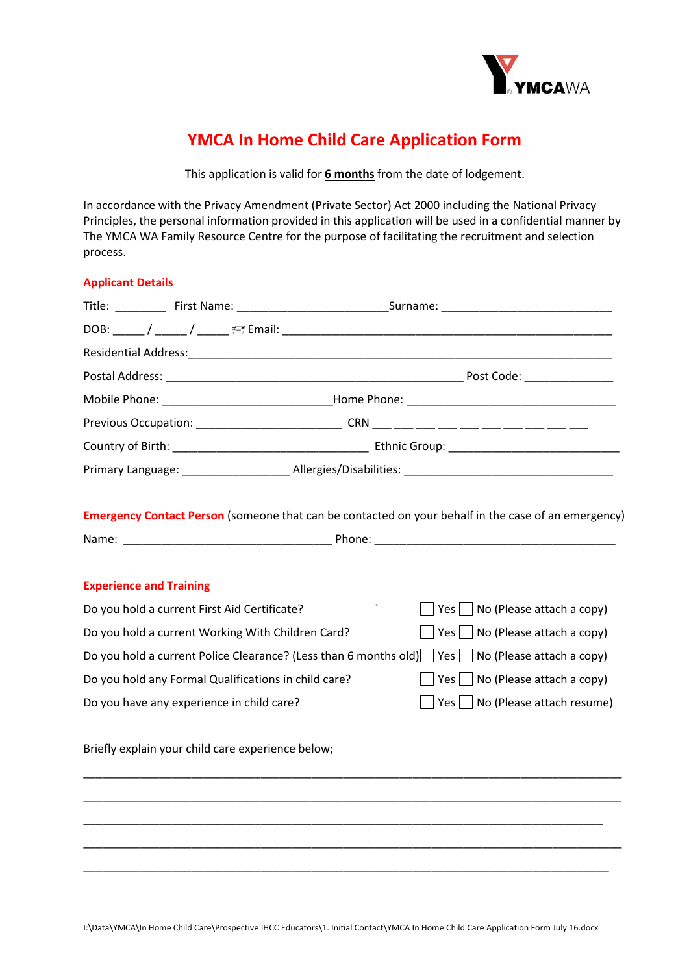

# **YMCA In Home Child Care Application Form**

This application is valid for **6 months** from the date of lodgement.

In accordance with the Privacy Amendment (Private Sector) Act 2000 including the National Privacy Principles, the personal information provided in this application will be used in a confidential manner by The YMCA WA Family Resource Centre for the purpose of facilitating the recruitment and selection process.

## **Applicant Details**

|                                |                                                   | Title: _____________ First Name: ________________________________Surname: _______________________________  |
|--------------------------------|---------------------------------------------------|------------------------------------------------------------------------------------------------------------|
|                                |                                                   |                                                                                                            |
|                                |                                                   |                                                                                                            |
|                                |                                                   |                                                                                                            |
|                                |                                                   |                                                                                                            |
|                                |                                                   |                                                                                                            |
|                                |                                                   |                                                                                                            |
|                                |                                                   | Primary Language: _______________________Allergies/Disabilities: ___________________________________       |
|                                |                                                   | <b>Emergency Contact Person</b> (someone that can be contacted on your behalf in the case of an emergency) |
|                                |                                                   |                                                                                                            |
| <b>Experience and Training</b> |                                                   |                                                                                                            |
|                                | Do you hold a current First Aid Certificate?      | $\Delta \sim 100$<br>Yes $\Box$ No (Please attach a copy)                                                  |
|                                | Do you hold a current Working With Children Card? | $\vert$ Yes $\vert$ No (Please attach a copy)                                                              |
|                                |                                                   | Do you hold a current Police Clearance? (Less than 6 months old)   Yes   No (Please attach a copy)         |

Do you hold any Formal Qualifications in child care?  $\Box$  Yes  $\Box$  No (Please attach a copy)

Do you have any experience in child care?  $\Box$  Yes  $\Box$  No (Please attach resume)

Briefly explain your child care experience below;

\_\_\_\_\_\_\_\_\_\_\_\_\_\_\_\_\_\_\_\_\_\_\_\_\_\_\_\_\_\_\_\_\_\_\_\_\_\_\_\_\_\_\_\_\_\_\_\_\_\_\_\_\_\_\_\_\_\_\_\_\_\_\_\_\_\_\_\_\_\_\_\_\_\_\_\_\_\_\_\_\_\_\_\_\_

\_\_\_\_\_\_\_\_\_\_\_\_\_\_\_\_\_\_\_\_\_\_\_\_\_\_\_\_\_\_\_\_\_\_\_\_\_\_\_\_\_\_\_\_\_\_\_\_\_\_\_\_\_\_\_\_\_\_\_\_\_\_\_\_\_\_\_\_\_\_\_\_\_\_\_\_\_\_\_\_\_\_\_\_\_

\_\_\_\_\_\_\_\_\_\_\_\_\_\_\_\_\_\_\_\_\_\_\_\_\_\_\_\_\_\_\_\_\_\_\_\_\_\_\_\_\_\_\_\_\_\_\_\_\_\_\_\_\_\_\_\_\_\_\_\_\_\_\_\_\_\_\_\_\_\_\_\_\_\_\_\_\_\_\_\_\_\_\_\_\_

\_\_\_\_\_\_\_\_\_\_\_\_\_\_\_\_\_\_\_\_\_\_\_\_\_\_\_\_\_\_\_\_\_\_\_\_\_\_\_\_\_\_\_\_\_\_\_\_\_\_\_\_\_\_\_\_\_\_\_\_\_\_\_\_\_\_\_\_\_\_\_\_\_\_\_\_\_\_\_\_\_\_\_

\_\_\_\_\_\_\_\_\_\_\_\_\_\_\_\_\_\_\_\_\_\_\_\_\_\_\_\_\_\_\_\_\_\_\_\_\_\_\_\_\_\_\_\_\_\_\_\_\_\_\_\_\_\_\_\_\_\_\_\_\_\_\_\_\_\_\_\_\_\_\_\_\_\_\_\_\_\_\_\_\_\_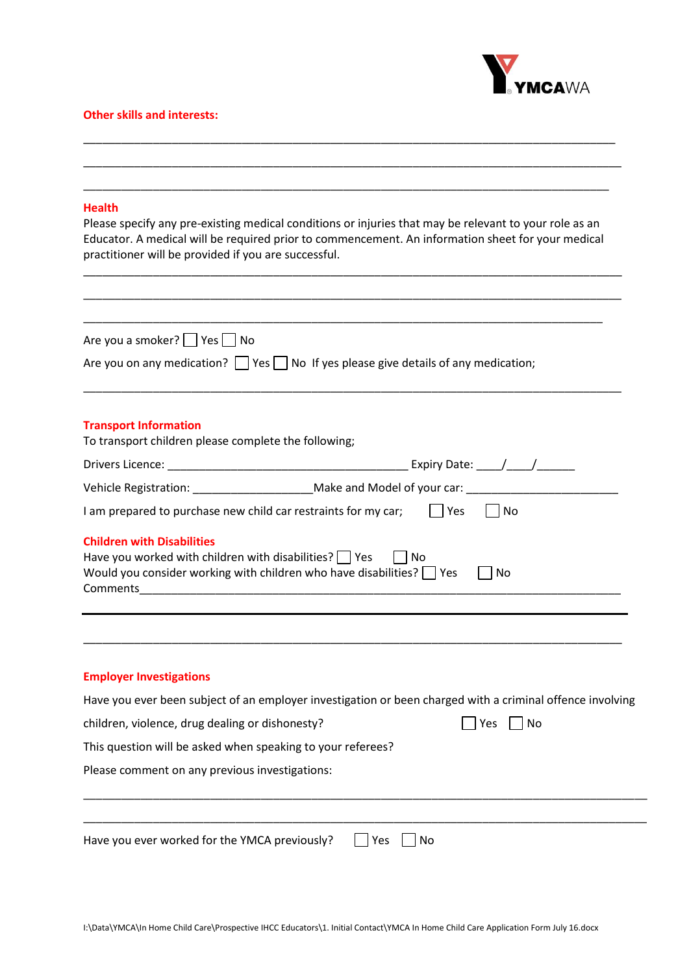

## **Other skills and interests:**

| <b>Health</b><br>Please specify any pre-existing medical conditions or injuries that may be relevant to your role as an<br>Educator. A medical will be required prior to commencement. An information sheet for your medical<br>practitioner will be provided if you are successful.                                                                                                                     |
|----------------------------------------------------------------------------------------------------------------------------------------------------------------------------------------------------------------------------------------------------------------------------------------------------------------------------------------------------------------------------------------------------------|
| Are you a smoker? $\Box$ Yes $\Box$ No<br>Are you on any medication? $\Box$ Yes $\Box$ No If yes please give details of any medication;                                                                                                                                                                                                                                                                  |
| <b>Transport Information</b><br>To transport children please complete the following;                                                                                                                                                                                                                                                                                                                     |
|                                                                                                                                                                                                                                                                                                                                                                                                          |
| Vehicle Registration: _________________________Make and Model of your car: _________________________<br>I am prepared to purchase new child car restraints for my car;<br>  Yes<br>   No                                                                                                                                                                                                                 |
| <b>Children with Disabilities</b><br>Have you worked with children with disabilities? $\vert \ \vert$ Yes<br>l INo<br>Would you consider working with children who have disabilities? $\Box$ Yes<br>No<br>Comments <b>Comments Comments Comments Comments Comments Comments Comments Comments Comments Comments Comments Comments Comments Comments Comments Comments Comments Comments Comments Com</b> |
| <b>Employer Investigations</b>                                                                                                                                                                                                                                                                                                                                                                           |
| Have you ever been subject of an employer investigation or been charged with a criminal offence involving                                                                                                                                                                                                                                                                                                |
| children, violence, drug dealing or dishonesty?<br>No<br>Yes                                                                                                                                                                                                                                                                                                                                             |
| This question will be asked when speaking to your referees?                                                                                                                                                                                                                                                                                                                                              |
| Please comment on any previous investigations:                                                                                                                                                                                                                                                                                                                                                           |
| Have you ever worked for the YMCA previously?<br>Yes<br>No                                                                                                                                                                                                                                                                                                                                               |

\_\_\_\_\_\_\_\_\_\_\_\_\_\_\_\_\_\_\_\_\_\_\_\_\_\_\_\_\_\_\_\_\_\_\_\_\_\_\_\_\_\_\_\_\_\_\_\_\_\_\_\_\_\_\_\_\_\_\_\_\_\_\_\_\_\_\_\_\_\_\_\_\_\_\_\_\_\_\_\_\_\_\_\_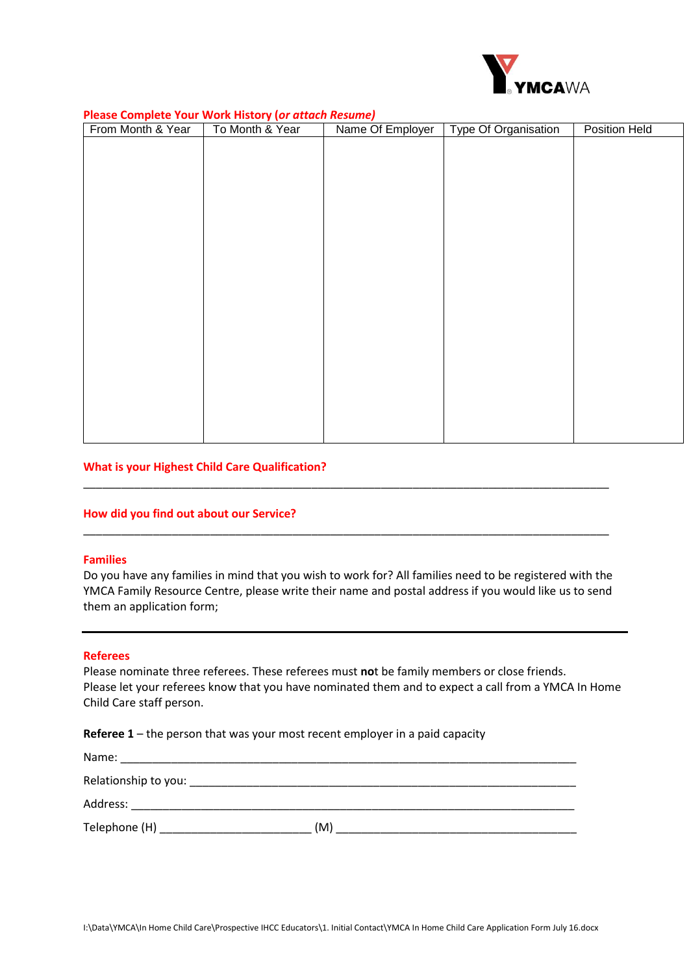

## **Please Complete Your Work History (***or attach Resume)*

| From Month & Year | .<br>To Month & Year | Name Of Employer | Type Of Organisation | <b>Position Held</b> |
|-------------------|----------------------|------------------|----------------------|----------------------|
|                   |                      |                  |                      |                      |
|                   |                      |                  |                      |                      |
|                   |                      |                  |                      |                      |
|                   |                      |                  |                      |                      |
|                   |                      |                  |                      |                      |
|                   |                      |                  |                      |                      |
|                   |                      |                  |                      |                      |
|                   |                      |                  |                      |                      |
|                   |                      |                  |                      |                      |
|                   |                      |                  |                      |                      |
|                   |                      |                  |                      |                      |
|                   |                      |                  |                      |                      |
|                   |                      |                  |                      |                      |
|                   |                      |                  |                      |                      |
|                   |                      |                  |                      |                      |
|                   |                      |                  |                      |                      |
|                   |                      |                  |                      |                      |
|                   |                      |                  |                      |                      |
|                   |                      |                  |                      |                      |
|                   |                      |                  |                      |                      |
|                   |                      |                  |                      |                      |

#### **What is your Highest Child Care Qualification?**

### **How did you find out about our Service?**

#### **Families**

Do you have any families in mind that you wish to work for? All families need to be registered with the YMCA Family Resource Centre, please write their name and postal address if you would like us to send them an application form;

\_\_\_\_\_\_\_\_\_\_\_\_\_\_\_\_\_\_\_\_\_\_\_\_\_\_\_\_\_\_\_\_\_\_\_\_\_\_\_\_\_\_\_\_\_\_\_\_\_\_\_\_\_\_\_\_\_\_\_\_\_\_\_\_\_\_\_\_\_\_\_\_\_\_\_\_\_\_\_\_\_\_\_

\_\_\_\_\_\_\_\_\_\_\_\_\_\_\_\_\_\_\_\_\_\_\_\_\_\_\_\_\_\_\_\_\_\_\_\_\_\_\_\_\_\_\_\_\_\_\_\_\_\_\_\_\_\_\_\_\_\_\_\_\_\_\_\_\_\_\_\_\_\_\_\_\_\_\_\_\_\_\_\_\_\_\_

#### **Referees**

Please nominate three referees. These referees must **no**t be family members or close friends. Please let your referees know that you have nominated them and to expect a call from a YMCA In Home Child Care staff person.

**Referee 1** – the person that was your most recent employer in a paid capacity

| Name:<br><u> 1989 - Johann John Stoff, deutscher Stoffen und der Stoffen und der Stoffen und der Stoffen und der Stoffen u</u> |     |
|--------------------------------------------------------------------------------------------------------------------------------|-----|
| Relationship to you:                                                                                                           |     |
| Address:                                                                                                                       |     |
| Telephone (H)                                                                                                                  | (M) |